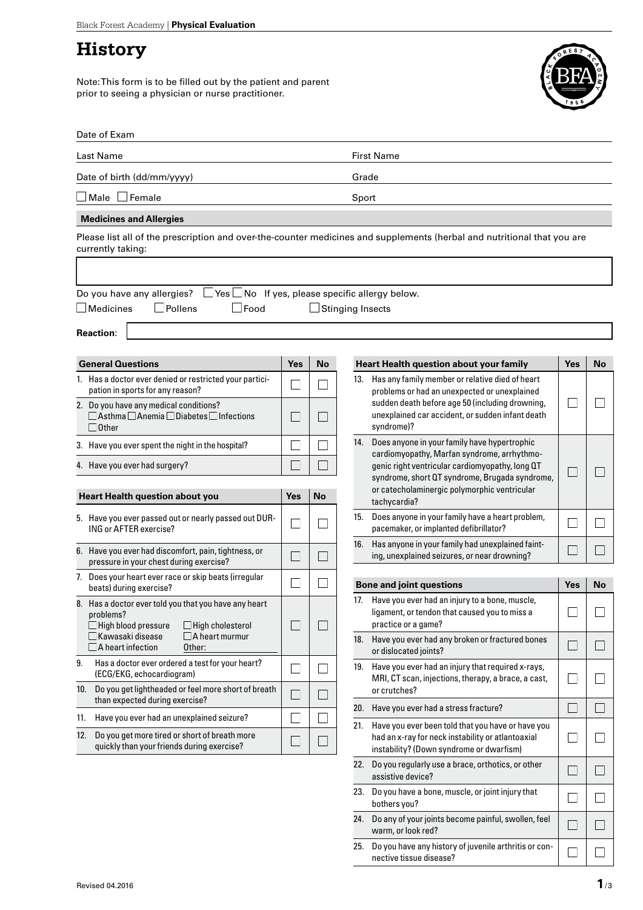## **History**

Note: This form is to be filled out by the patient and parent prior to seeing a physician or nurse practitioner.



|  | Date of Exam |
|--|--------------|
|--|--------------|

| Last Name                                                         |            |           | <b>First Name</b>                                                                                                       |            |     |  |
|-------------------------------------------------------------------|------------|-----------|-------------------------------------------------------------------------------------------------------------------------|------------|-----|--|
| Date of birth (dd/mm/yyyy)                                        |            |           | Grade                                                                                                                   |            |     |  |
| $\blacksquare$ Male $\blacksquare$ Female                         |            |           | Sport                                                                                                                   |            |     |  |
| <b>Medicines and Allergies</b>                                    |            |           |                                                                                                                         |            |     |  |
| currently taking:                                                 |            |           | Please list all of the prescription and over-the-counter medicines and supplements (herbal and nutritional that you are |            |     |  |
|                                                                   |            |           |                                                                                                                         |            |     |  |
| Do you have any allergies?<br>$\Box$ Food<br>Medicines<br>Pollens |            |           | $\Box$ Yes $\Box$ No If yes, please specific allergy below.<br>Stinging Insects                                         |            |     |  |
| <b>Reaction:</b>                                                  |            |           |                                                                                                                         |            |     |  |
| <b>General Questions</b>                                          | <b>Yes</b> | <b>No</b> | <b>Heart Health question about your family</b>                                                                          | <b>Yes</b> | No. |  |
|                                                                   |            |           |                                                                                                                         |            |     |  |
| Has a doctor ever denied or restricted your partici-              |            |           | 13. Has any family member or relative died of heart                                                                     |            |     |  |

|     | abotor over achied or restricted your parties<br>pation in sports for any reason?                                                                                                                                     |     |           |
|-----|-----------------------------------------------------------------------------------------------------------------------------------------------------------------------------------------------------------------------|-----|-----------|
|     | 2. Do you have any medical conditions?<br>$\Box$ Asthma $\Box$ Anemia $\Box$ Diabetes $\Box$ Infections<br>$\Box$ Other                                                                                               |     |           |
| 3.  | Have you ever spent the night in the hospital?                                                                                                                                                                        |     |           |
|     | 4. Have you ever had surgery?                                                                                                                                                                                         |     |           |
|     |                                                                                                                                                                                                                       |     |           |
|     | <b>Heart Health question about you</b>                                                                                                                                                                                | Yes | <b>No</b> |
| 5.  | Have you ever passed out or nearly passed out DUR-<br>ING or AFTER exercise?                                                                                                                                          |     |           |
| 6.  | Have you ever had discomfort, pain, tightness, or<br>pressure in your chest during exercise?                                                                                                                          |     |           |
| 7.  | Does your heart ever race or skip beats (irregular<br>beats) during exercise?                                                                                                                                         |     |           |
| 8.  | Has a doctor ever told you that you have any heart<br>problems?<br>$\Box$ High blood pressure<br>$\Box$ High cholesterol<br>$\exists$ Kawasaki disease<br>$\Box$ A heart murmur<br>$\Box$ A heart infection<br>Other: |     |           |
| 9.  | Has a doctor ever ordered a test for your heart?<br>(ECG/EKG, echocardiogram)                                                                                                                                         |     |           |
| 10. | Do you get lightheaded or feel more short of breath<br>than expected during exercise?                                                                                                                                 |     |           |
| 11. | Have you ever had an unexplained seizure?                                                                                                                                                                             |     |           |

 $\hfill \square$ 

 $\Box$ 

12. Do you get more tired or short of breath more quickly than your friends during exercise?

|     | <b>Heart Health question about your family</b>                                                                                                                                                                                                                   | Yes | No |
|-----|------------------------------------------------------------------------------------------------------------------------------------------------------------------------------------------------------------------------------------------------------------------|-----|----|
| 13. | Has any family member or relative died of heart<br>problems or had an unexpected or unexplained<br>sudden death before age 50 (including drowning,<br>unexplained car accident, or sudden infant death<br>syndrome)?                                             |     |    |
| 14. | Does anyone in your family have hypertrophic<br>cardiomyopathy, Marfan syndrome, arrhythmo-<br>genic right ventricular cardiomyopathy, long QT<br>syndrome, short QT syndrome, Brugada syndrome,<br>or catecholaminergic polymorphic ventricular<br>tachycardia? |     |    |
| 15. | Does anyone in your family have a heart problem,<br>pacemaker, or implanted defibrillator?                                                                                                                                                                       |     |    |
| 16. | Has anyone in your family had unexplained faint-<br>ing, unexplained seizures, or near drowning?                                                                                                                                                                 |     |    |
|     |                                                                                                                                                                                                                                                                  |     |    |
|     | <b>Bone and joint questions</b>                                                                                                                                                                                                                                  | Yes | No |
| 17. | Have you ever had an injury to a bone, muscle,<br>ligament, or tendon that caused you to miss a<br>practice or a game?                                                                                                                                           |     |    |
| 18. | Have you ever had any broken or fractured bones<br>or dislocated joints?                                                                                                                                                                                         |     |    |
| 19. | Have you ever had an injury that required x-rays,<br>MRI, CT scan, injections, therapy, a brace, a cast,<br>or crutches?                                                                                                                                         |     |    |
| 20. |                                                                                                                                                                                                                                                                  |     |    |
|     | Have you ever had a stress fracture?                                                                                                                                                                                                                             |     |    |
| 21. | Have you ever been told that you have or have you<br>had an x-ray for neck instability or atlantoaxial<br>instability? (Down syndrome or dwarfism)                                                                                                               |     |    |
| 22. | Do you regularly use a brace, orthotics, or other<br>assistive device?                                                                                                                                                                                           |     |    |
| 23. | Do you have a bone, muscle, or joint injury that<br>bothers you?                                                                                                                                                                                                 |     |    |

25. Do you have any history of juvenile arthritis or con-

nective tissue disease?

 $\sqrt{ }$ ┐

 $\Box$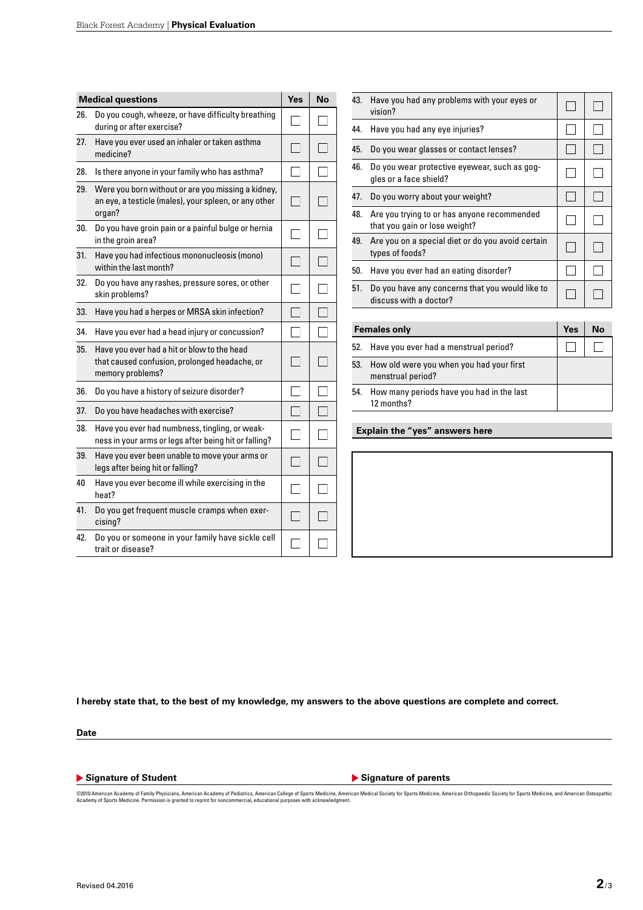| <b>Medical questions</b> |                                                                                                                       | Yes | No |
|--------------------------|-----------------------------------------------------------------------------------------------------------------------|-----|----|
| 26.                      | Do you cough, wheeze, or have difficulty breathing<br>during or after exercise?                                       |     |    |
| 27.                      | Have you ever used an inhaler or taken asthma<br>medicine?                                                            |     |    |
| 28.                      | Is there anyone in your family who has asthma?                                                                        |     |    |
| 29.                      | Were you born without or are you missing a kidney,<br>an eye, a testicle (males), your spleen, or any other<br>organ? |     |    |
| 30.                      | Do you have groin pain or a painful bulge or hernia<br>in the groin area?                                             |     |    |
| 31.                      | Have you had infectious mononucleosis (mono)<br>within the last month?                                                |     |    |
| 32.                      | Do you have any rashes, pressure sores, or other<br>skin problems?                                                    |     |    |
| 33.                      | Have you had a herpes or MRSA skin infection?                                                                         |     |    |
| 34.                      | Have you ever had a head injury or concussion?                                                                        |     |    |
| 35.                      | Have you ever had a hit or blow to the head<br>that caused confusion, prolonged headache, or<br>memory problems?      |     |    |
| 36.                      | Do you have a history of seizure disorder?                                                                            |     |    |
| 37.                      | Do you have headaches with exercise?                                                                                  |     |    |
| 38.                      | Have you ever had numbness, tingling, or weak-<br>ness in your arms or legs after being hit or falling?               |     |    |
| 39.                      | Have you ever been unable to move your arms or<br>legs after being hit or falling?                                    |     |    |
| 40                       | Have you ever become ill while exercising in the<br>heat?                                                             |     |    |
| 41.                      | Do you get frequent muscle cramps when exer-<br>cising?                                                               |     |    |
| 42.                      | Do you or someone in your family have sickle cell<br>trait or disease?                                                |     |    |

| 43.                 | Have you had any problems with your eyes or<br>vision?                       |  |           |
|---------------------|------------------------------------------------------------------------------|--|-----------|
| 44.                 | Have you had any eye injuries?                                               |  |           |
| 45.                 | Do you wear glasses or contact lenses?                                       |  |           |
| 46.                 | Do you wear protective eyewear, such as gog-<br>gles or a face shield?       |  |           |
| 47.                 | Do you worry about your weight?                                              |  |           |
| 48.                 | Are you trying to or has anyone recommended<br>that you gain or lose weight? |  |           |
| 49.                 | Are you on a special diet or do you avoid certain<br>types of foods?         |  |           |
| 50.                 | Have you ever had an eating disorder?                                        |  |           |
| 51.                 | Do you have any concerns that you would like to<br>discuss with a doctor?    |  |           |
|                     |                                                                              |  |           |
| <b>Females only</b> |                                                                              |  | <b>No</b> |
| 52.                 | Have you ever had a menstrual period?                                        |  |           |
| 53.                 | How old were you when you had your first<br>menstrual period?                |  |           |
| 54.                 | How many periods have you had in the last                                    |  |           |

**I hereby state that, to the best of my knowledge, my answers to the above questions are complete and correct.**

**Date**

▶ Signature of Student **Internal Student Student Signature of parents** 

12 months?

**Explain the "yes" answers here**

©2010 American Academy of Family Physicians, American Academy of Pediatrics, American College of Sports Medicine, American Medical Society for Sports Medicine, American Othopaedic Society for Sports Medicine, and American